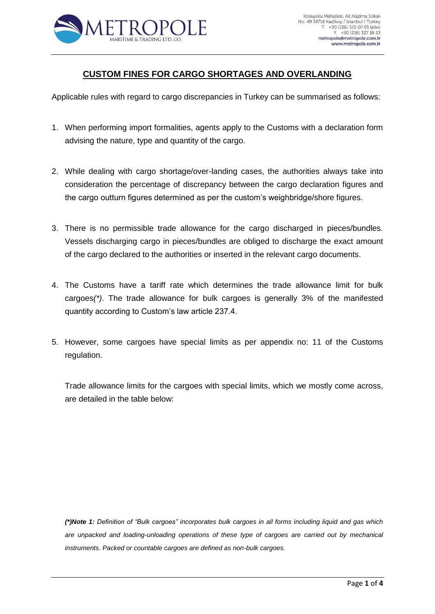

## **CUSTOM FINES FOR CARGO SHORTAGES AND OVERLANDING**

Applicable rules with regard to cargo discrepancies in Turkey can be summarised as follows:

- 1. When performing import formalities, agents apply to the Customs with a declaration form advising the nature, type and quantity of the cargo.
- 2. While dealing with cargo shortage/over-landing cases, the authorities always take into consideration the percentage of discrepancy between the cargo declaration figures and the cargo outturn figures determined as per the custom's weighbridge/shore figures.
- 3. There is no permissible trade allowance for the cargo discharged in pieces/bundles. Vessels discharging cargo in pieces/bundles are obliged to discharge the exact amount of the cargo declared to the authorities or inserted in the relevant cargo documents.
- 4. The Customs have a tariff rate which determines the trade allowance limit for bulk cargoes*(\*)*. The trade allowance for bulk cargoes is generally 3% of the manifested quantity according to Custom's law article 237.4.
- 5. However, some cargoes have special limits as per appendix no: 11 of the Customs regulation.

Trade allowance limits for the cargoes with special limits, which we mostly come across, are detailed in the table below:

*(\*)Note 1: Definition of "Bulk cargoes" incorporates bulk cargoes in all forms including liquid and gas which are unpacked and loading-unloading operations of these type of cargoes are carried out by mechanical instruments. Packed or countable cargoes are defined as non-bulk cargoes.*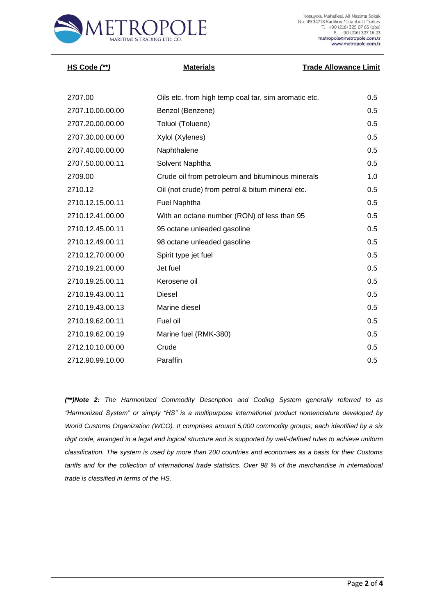

| <u>HS Code (**)</u> | <b>Materials</b>                                     | <b>Trade Allowance Limit</b> |
|---------------------|------------------------------------------------------|------------------------------|
|                     |                                                      |                              |
| 2707.00             | Oils etc. from high temp coal tar, sim aromatic etc. | 0.5                          |
| 2707.10.00.00.00    | Benzol (Benzene)                                     | 0.5                          |
| 2707.20.00.00.00    | Toluol (Toluene)                                     | 0.5                          |
| 2707.30.00.00.00    | Xylol (Xylenes)                                      | 0.5                          |
| 2707.40.00.00.00    | Naphthalene                                          | 0.5                          |
| 2707.50.00.00.11    | Solvent Naphtha                                      | 0.5                          |
| 2709.00             | Crude oil from petroleum and bituminous minerals     | 1.0                          |
| 2710.12             | Oil (not crude) from petrol & bitum mineral etc.     | 0.5                          |
| 2710.12.15.00.11    | <b>Fuel Naphtha</b>                                  | 0.5                          |
| 2710.12.41.00.00    | With an octane number (RON) of less than 95          | 0.5                          |
| 2710.12.45.00.11    | 95 octane unleaded gasoline                          | 0.5                          |
| 2710.12.49.00.11    | 98 octane unleaded gasoline                          | 0.5                          |
| 2710.12.70.00.00    | Spirit type jet fuel                                 | 0.5                          |
| 2710.19.21.00.00    | Jet fuel                                             | 0.5                          |

2710.19.25.00.11 Kerosene oil 0.5 2710.19.43.00.11 Diesel 0.5 2710.19.43.00.13 Marine diesel 0.5 2710.19.62.00.11 Fuel oil 0.5 2710.19.62.00.19 Marine fuel (RMK-380) 0.5 2712.10.10.00.00 Crude 0.5 2712.90.99.10.00 Paraffin 0.5

*(\*\*)Note 2: The Harmonized Commodity Description and Coding System generally referred to as "Harmonized System" or simply "HS" is a multipurpose international product nomenclature developed by World Customs Organization (WCO). It comprises around 5,000 commodity groups; each identified by a six digit code, arranged in a legal and logical structure and is supported by well-defined rules to achieve uniform classification. The system is used by more than 200 countries and economies as a basis for their Customs*  tariffs and for the collection of international trade statistics. Over 98 % of the merchandise in international *trade is classified in terms of the HS.*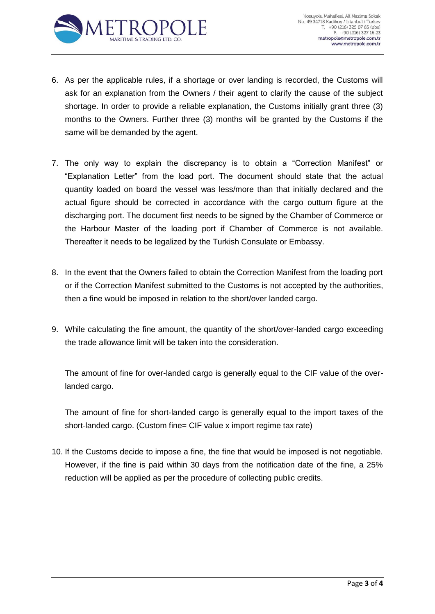

- 6. As per the applicable rules, if a shortage or over landing is recorded, the Customs will ask for an explanation from the Owners / their agent to clarify the cause of the subject shortage. In order to provide a reliable explanation, the Customs initially grant three (3) months to the Owners. Further three (3) months will be granted by the Customs if the same will be demanded by the agent.
- 7. The only way to explain the discrepancy is to obtain a "Correction Manifest" or "Explanation Letter" from the load port. The document should state that the actual quantity loaded on board the vessel was less/more than that initially declared and the actual figure should be corrected in accordance with the cargo outturn figure at the discharging port. The document first needs to be signed by the Chamber of Commerce or the Harbour Master of the loading port if Chamber of Commerce is not available. Thereafter it needs to be legalized by the Turkish Consulate or Embassy.
- 8. In the event that the Owners failed to obtain the Correction Manifest from the loading port or if the Correction Manifest submitted to the Customs is not accepted by the authorities, then a fine would be imposed in relation to the short/over landed cargo.
- 9. While calculating the fine amount, the quantity of the short/over-landed cargo exceeding the trade allowance limit will be taken into the consideration.

The amount of fine for over-landed cargo is generally equal to the CIF value of the overlanded cargo.

The amount of fine for short-landed cargo is generally equal to the import taxes of the short-landed cargo. (Custom fine= CIF value x import regime tax rate)

10. If the Customs decide to impose a fine, the fine that would be imposed is not negotiable. However, if the fine is paid within 30 days from the notification date of the fine, a 25% reduction will be applied as per the procedure of collecting public credits.